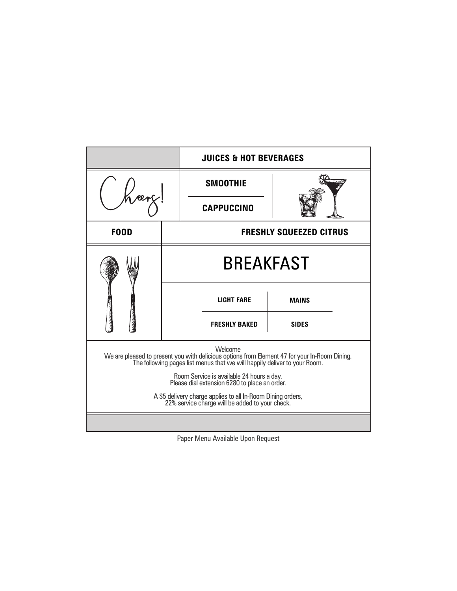|                                                                                                                                                                                       |                                | <b>JUICES &amp; HOT BEVERAGES</b> |              |  |
|---------------------------------------------------------------------------------------------------------------------------------------------------------------------------------------|--------------------------------|-----------------------------------|--------------|--|
|                                                                                                                                                                                       |                                | <b>SMOOTHIE</b>                   |              |  |
|                                                                                                                                                                                       |                                | <b>CAPPUCCINO</b>                 |              |  |
| <b>FOOD</b>                                                                                                                                                                           | <b>FRESHLY SQUEEZED CITRUS</b> |                                   |              |  |
|                                                                                                                                                                                       | <b>BREAKFAST</b>               |                                   |              |  |
|                                                                                                                                                                                       |                                | <b>LIGHT FARE</b>                 | <b>MAINS</b> |  |
|                                                                                                                                                                                       |                                | <b>FRESHLY BAKED</b>              | <b>SIDES</b> |  |
| Welcome<br>We are pleased to present you with delicious options from Element 47 for your In-Room Dining.<br>The following pages list menus that we will happily deliver to your Room. |                                |                                   |              |  |
| Room Service is available 24 hours a day.<br>Please dial extension 6280 to place an order.                                                                                            |                                |                                   |              |  |
| A \$5 delivery charge applies to all In-Room Dining orders,<br>22% service charge will be added to your check.                                                                        |                                |                                   |              |  |
|                                                                                                                                                                                       |                                |                                   |              |  |

Paper Menu Available Upon Request